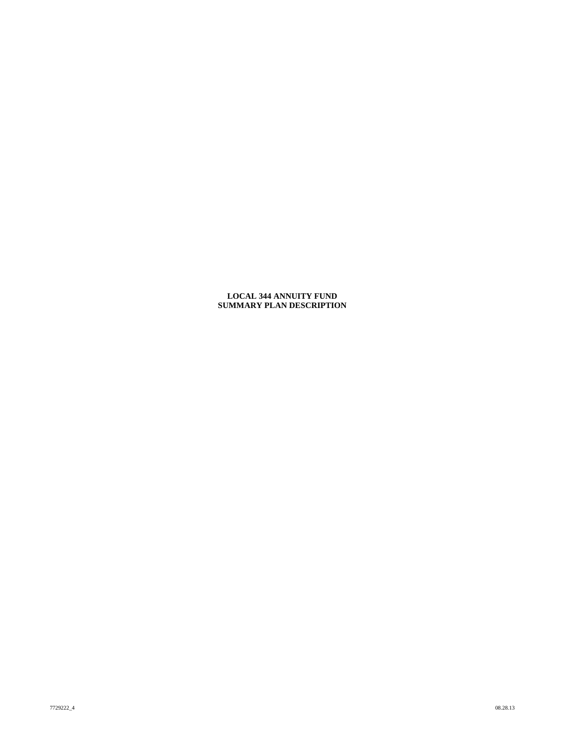# **LOCAL 344 ANNUITY FUND SUMMARY PLAN DESCRIPTION**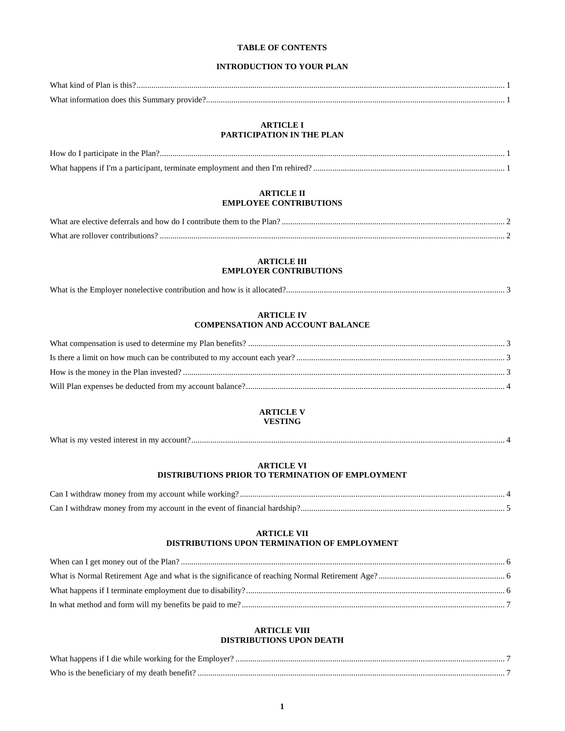# **TABLE OF CONTENTS**

# **INTRODUCTION TO YOUR PLAN**

| What kir         |  |
|------------------|--|
| $W$ ha<br>unmar: |  |

# **ARTICLE I PARTICIPATION IN THE PLAN**

# **ARTICLE II EMPLOYEE CONTRIBUTIONS**

| What are<br>, elective deferrals and how do L contribute them to t<br>Plan<br>the |  |
|-----------------------------------------------------------------------------------|--|
| What are<br>' contributions<br>. ollover                                          |  |

# **ARTICLE III EMPLOYER CONTRIBUTIONS**

| What is the Employer nonelective contribution and how is it allocated? |
|------------------------------------------------------------------------|
|------------------------------------------------------------------------|

# **ARTICLE IV COMPENSATION AND ACCOUNT BALANCE**

# **ARTICLE V VESTING**

| What is my vested interest in my account. |  |
|-------------------------------------------|--|
|                                           |  |

# **ARTICLE VI DISTRIBUTIONS PRIOR TO TERMINATION OF EMPLOYMENT**

| Can I withdraw money from my account while working?.                     |  |
|--------------------------------------------------------------------------|--|
| Can I withdraw money from my account in the event of financial hardship? |  |

# **ARTICLE VII DISTRIBUTIONS UPON TERMINATION OF EMPLOYMENT**

# **ARTICLE VIII DISTRIBUTIONS UPON DEATH**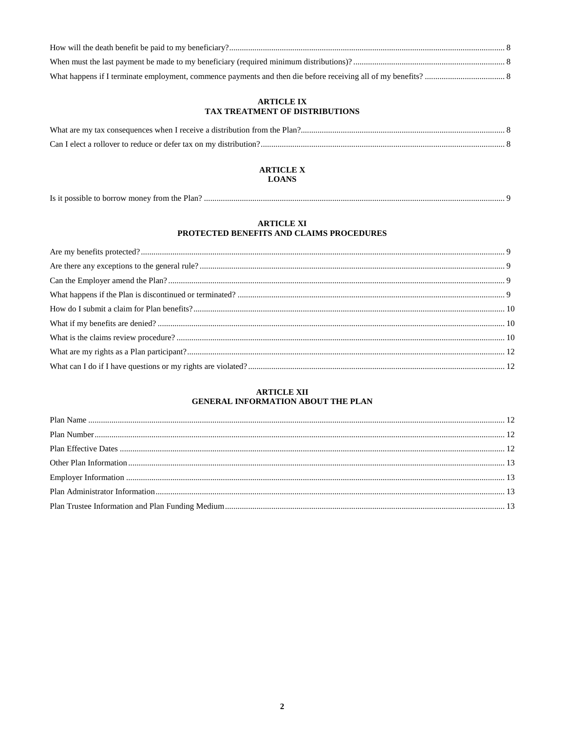# **ARTICLE IX** TAX TREATMENT OF DISTRIBUTIONS

# **ARTICLE X LOANS**

| Is it possible to borrow money from the Plan?. |
|------------------------------------------------|
|------------------------------------------------|

# **ARTICLE XI** PROTECTED BENEFITS AND CLAIMS PROCEDURES

# **ARTICLE XII** GENERAL INFORMATION ABOUT THE PLAN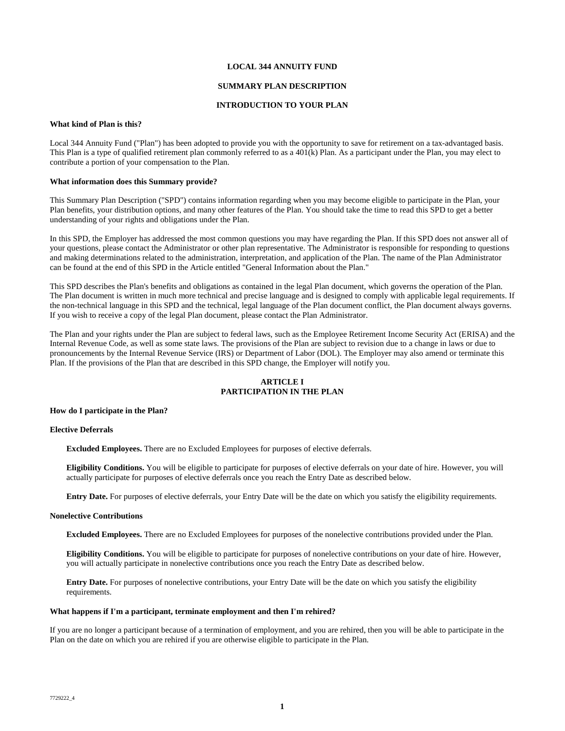### **LOCAL 344 ANNUITY FUND**

## **SUMMARY PLAN DESCRIPTION**

# **INTRODUCTION TO YOUR PLAN**

#### **What kind of Plan is this?**

Local 344 Annuity Fund ("Plan") has been adopted to provide you with the opportunity to save for retirement on a tax-advantaged basis. This Plan is a type of qualified retirement plan commonly referred to as a  $401(k)$  Plan. As a participant under the Plan, you may elect to contribute a portion of your compensation to the Plan.

### **What information does this Summary provide?**

This Summary Plan Description ("SPD") contains information regarding when you may become eligible to participate in the Plan, your Plan benefits, your distribution options, and many other features of the Plan. You should take the time to read this SPD to get a better understanding of your rights and obligations under the Plan.

In this SPD, the Employer has addressed the most common questions you may have regarding the Plan. If this SPD does not answer all of your questions, please contact the Administrator or other plan representative. The Administrator is responsible for responding to questions and making determinations related to the administration, interpretation, and application of the Plan. The name of the Plan Administrator can be found at the end of this SPD in the Article entitled "General Information about the Plan."

This SPD describes the Plan's benefits and obligations as contained in the legal Plan document, which governs the operation of the Plan. The Plan document is written in much more technical and precise language and is designed to comply with applicable legal requirements. If the non-technical language in this SPD and the technical, legal language of the Plan document conflict, the Plan document always governs. If you wish to receive a copy of the legal Plan document, please contact the Plan Administrator.

The Plan and your rights under the Plan are subject to federal laws, such as the Employee Retirement Income Security Act (ERISA) and the Internal Revenue Code, as well as some state laws. The provisions of the Plan are subject to revision due to a change in laws or due to pronouncements by the Internal Revenue Service (IRS) or Department of Labor (DOL). The Employer may also amend or terminate this Plan. If the provisions of the Plan that are described in this SPD change, the Employer will notify you.

# **ARTICLE I PARTICIPATION IN THE PLAN**

### **How do I participate in the Plan?**

# **Elective Deferrals**

**Excluded Employees.** There are no Excluded Employees for purposes of elective deferrals.

**Eligibility Conditions.** You will be eligible to participate for purposes of elective deferrals on your date of hire. However, you will actually participate for purposes of elective deferrals once you reach the Entry Date as described below.

**Entry Date.** For purposes of elective deferrals, your Entry Date will be the date on which you satisfy the eligibility requirements.

#### **Nonelective Contributions**

**Excluded Employees.** There are no Excluded Employees for purposes of the nonelective contributions provided under the Plan.

**Eligibility Conditions.** You will be eligible to participate for purposes of nonelective contributions on your date of hire. However, you will actually participate in nonelective contributions once you reach the Entry Date as described below.

**Entry Date.** For purposes of nonelective contributions, your Entry Date will be the date on which you satisfy the eligibility requirements.

#### **What happens if I'm a participant, terminate employment and then I'm rehired?**

If you are no longer a participant because of a termination of employment, and you are rehired, then you will be able to participate in the Plan on the date on which you are rehired if you are otherwise eligible to participate in the Plan.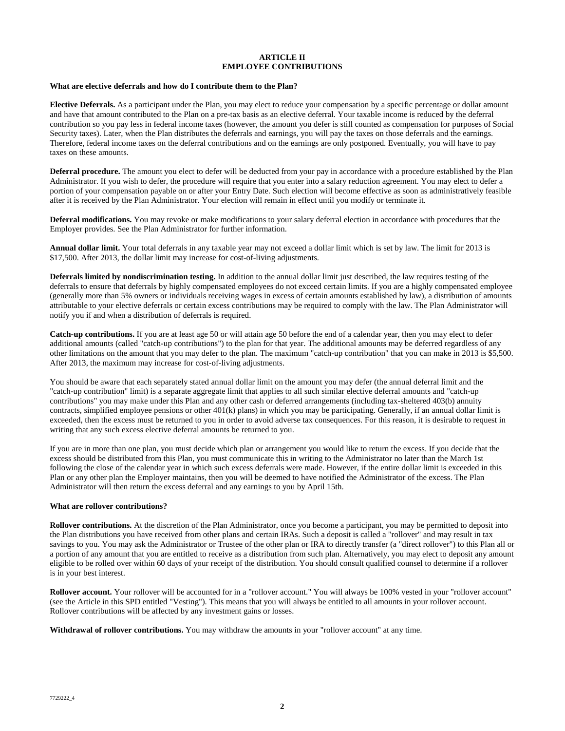# **ARTICLE II EMPLOYEE CONTRIBUTIONS**

### **What are elective deferrals and how do I contribute them to the Plan?**

**Elective Deferrals.** As a participant under the Plan, you may elect to reduce your compensation by a specific percentage or dollar amount and have that amount contributed to the Plan on a pre-tax basis as an elective deferral. Your taxable income is reduced by the deferral contribution so you pay less in federal income taxes (however, the amount you defer is still counted as compensation for purposes of Social Security taxes). Later, when the Plan distributes the deferrals and earnings, you will pay the taxes on those deferrals and the earnings. Therefore, federal income taxes on the deferral contributions and on the earnings are only postponed. Eventually, you will have to pay taxes on these amounts.

**Deferral procedure.** The amount you elect to defer will be deducted from your pay in accordance with a procedure established by the Plan Administrator. If you wish to defer, the procedure will require that you enter into a salary reduction agreement. You may elect to defer a portion of your compensation payable on or after your Entry Date. Such election will become effective as soon as administratively feasible after it is received by the Plan Administrator. Your election will remain in effect until you modify or terminate it.

**Deferral modifications.** You may revoke or make modifications to your salary deferral election in accordance with procedures that the Employer provides. See the Plan Administrator for further information.

**Annual dollar limit.** Your total deferrals in any taxable year may not exceed a dollar limit which is set by law. The limit for 2013 is \$17,500. After 2013, the dollar limit may increase for cost-of-living adjustments.

**Deferrals limited by nondiscrimination testing.** In addition to the annual dollar limit just described, the law requires testing of the deferrals to ensure that deferrals by highly compensated employees do not exceed certain limits. If you are a highly compensated employee (generally more than 5% owners or individuals receiving wages in excess of certain amounts established by law), a distribution of amounts attributable to your elective deferrals or certain excess contributions may be required to comply with the law. The Plan Administrator will notify you if and when a distribution of deferrals is required.

**Catch-up contributions.** If you are at least age 50 or will attain age 50 before the end of a calendar year, then you may elect to defer additional amounts (called "catch-up contributions") to the plan for that year. The additional amounts may be deferred regardless of any other limitations on the amount that you may defer to the plan. The maximum "catch-up contribution" that you can make in 2013 is \$5,500. After 2013, the maximum may increase for cost-of-living adjustments.

You should be aware that each separately stated annual dollar limit on the amount you may defer (the annual deferral limit and the "catch-up contribution" limit) is a separate aggregate limit that applies to all such similar elective deferral amounts and "catch-up contributions" you may make under this Plan and any other cash or deferred arrangements (including tax-sheltered 403(b) annuity contracts, simplified employee pensions or other 401(k) plans) in which you may be participating. Generally, if an annual dollar limit is exceeded, then the excess must be returned to you in order to avoid adverse tax consequences. For this reason, it is desirable to request in writing that any such excess elective deferral amounts be returned to you.

If you are in more than one plan, you must decide which plan or arrangement you would like to return the excess. If you decide that the excess should be distributed from this Plan, you must communicate this in writing to the Administrator no later than the March 1st following the close of the calendar year in which such excess deferrals were made. However, if the entire dollar limit is exceeded in this Plan or any other plan the Employer maintains, then you will be deemed to have notified the Administrator of the excess. The Plan Administrator will then return the excess deferral and any earnings to you by April 15th.

#### **What are rollover contributions?**

**Rollover contributions.** At the discretion of the Plan Administrator, once you become a participant, you may be permitted to deposit into the Plan distributions you have received from other plans and certain IRAs. Such a deposit is called a "rollover" and may result in tax savings to you. You may ask the Administrator or Trustee of the other plan or IRA to directly transfer (a "direct rollover") to this Plan all or a portion of any amount that you are entitled to receive as a distribution from such plan. Alternatively, you may elect to deposit any amount eligible to be rolled over within 60 days of your receipt of the distribution. You should consult qualified counsel to determine if a rollover is in your best interest.

**Rollover account.** Your rollover will be accounted for in a "rollover account." You will always be 100% vested in your "rollover account" (see the Article in this SPD entitled "Vesting"). This means that you will always be entitled to all amounts in your rollover account. Rollover contributions will be affected by any investment gains or losses.

**Withdrawal of rollover contributions.** You may withdraw the amounts in your "rollover account" at any time.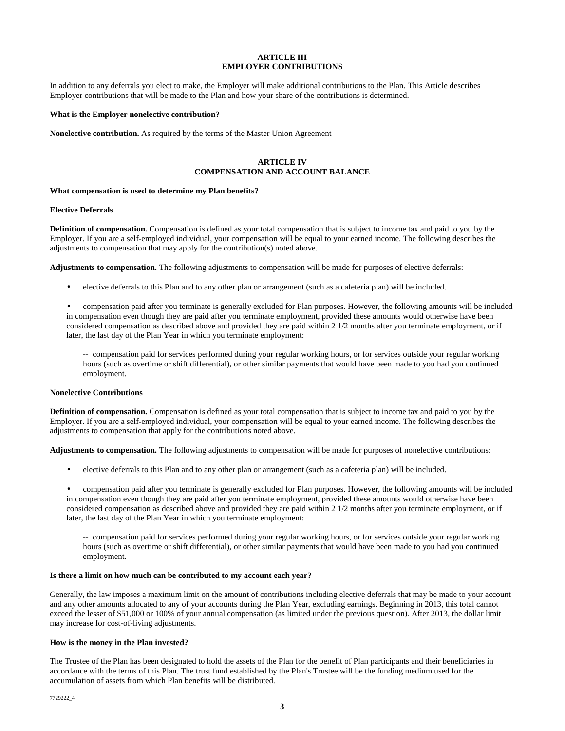# **ARTICLE III EMPLOYER CONTRIBUTIONS**

In addition to any deferrals you elect to make, the Employer will make additional contributions to the Plan. This Article describes Employer contributions that will be made to the Plan and how your share of the contributions is determined.

### **What is the Employer nonelective contribution?**

**Nonelective contribution.** As required by the terms of the Master Union Agreement

# **ARTICLE IV COMPENSATION AND ACCOUNT BALANCE**

#### **What compensation is used to determine my Plan benefits?**

#### **Elective Deferrals**

**Definition of compensation.** Compensation is defined as your total compensation that is subject to income tax and paid to you by the Employer. If you are a self-employed individual, your compensation will be equal to your earned income. The following describes the adjustments to compensation that may apply for the contribution(s) noted above.

**Adjustments to compensation.** The following adjustments to compensation will be made for purposes of elective deferrals:

- elective deferrals to this Plan and to any other plan or arrangement (such as a cafeteria plan) will be included.
- compensation paid after you terminate is generally excluded for Plan purposes. However, the following amounts will be included in compensation even though they are paid after you terminate employment, provided these amounts would otherwise have been considered compensation as described above and provided they are paid within 2 1/2 months after you terminate employment, or if later, the last day of the Plan Year in which you terminate employment:

-- compensation paid for services performed during your regular working hours, or for services outside your regular working hours (such as overtime or shift differential), or other similar payments that would have been made to you had you continued employment.

# **Nonelective Contributions**

**Definition of compensation.** Compensation is defined as your total compensation that is subject to income tax and paid to you by the Employer. If you are a self-employed individual, your compensation will be equal to your earned income. The following describes the adjustments to compensation that apply for the contributions noted above.

**Adjustments to compensation.** The following adjustments to compensation will be made for purposes of nonelective contributions:

- elective deferrals to this Plan and to any other plan or arrangement (such as a cafeteria plan) will be included.
- compensation paid after you terminate is generally excluded for Plan purposes. However, the following amounts will be included in compensation even though they are paid after you terminate employment, provided these amounts would otherwise have been considered compensation as described above and provided they are paid within 2 1/2 months after you terminate employment, or if later, the last day of the Plan Year in which you terminate employment:

-- compensation paid for services performed during your regular working hours, or for services outside your regular working hours (such as overtime or shift differential), or other similar payments that would have been made to you had you continued employment.

# **Is there a limit on how much can be contributed to my account each year?**

Generally, the law imposes a maximum limit on the amount of contributions including elective deferrals that may be made to your account and any other amounts allocated to any of your accounts during the Plan Year, excluding earnings. Beginning in 2013, this total cannot exceed the lesser of \$51,000 or 100% of your annual compensation (as limited under the previous question). After 2013, the dollar limit may increase for cost-of-living adjustments.

# **How is the money in the Plan invested?**

The Trustee of the Plan has been designated to hold the assets of the Plan for the benefit of Plan participants and their beneficiaries in accordance with the terms of this Plan. The trust fund established by the Plan's Trustee will be the funding medium used for the accumulation of assets from which Plan benefits will be distributed.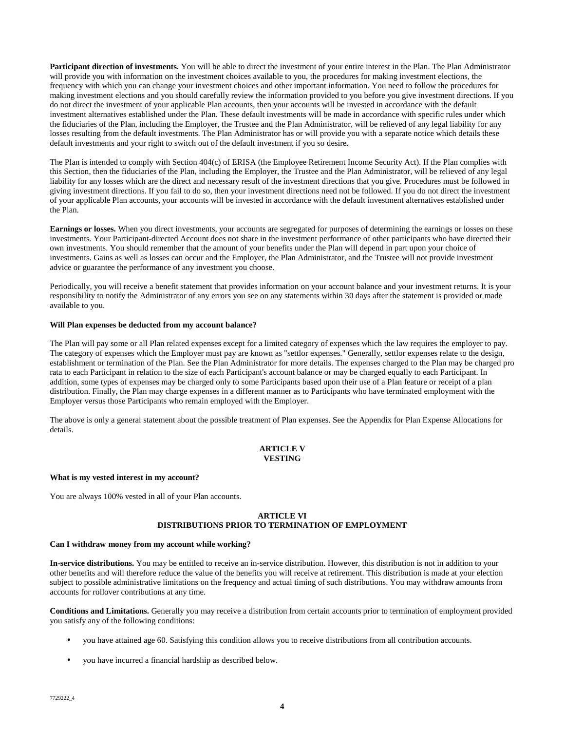**Participant direction of investments.** You will be able to direct the investment of your entire interest in the Plan. The Plan Administrator will provide you with information on the investment choices available to you, the procedures for making investment elections, the frequency with which you can change your investment choices and other important information. You need to follow the procedures for making investment elections and you should carefully review the information provided to you before you give investment directions. If you do not direct the investment of your applicable Plan accounts, then your accounts will be invested in accordance with the default investment alternatives established under the Plan. These default investments will be made in accordance with specific rules under which the fiduciaries of the Plan, including the Employer, the Trustee and the Plan Administrator, will be relieved of any legal liability for any losses resulting from the default investments. The Plan Administrator has or will provide you with a separate notice which details these default investments and your right to switch out of the default investment if you so desire.

The Plan is intended to comply with Section 404(c) of ERISA (the Employee Retirement Income Security Act). If the Plan complies with this Section, then the fiduciaries of the Plan, including the Employer, the Trustee and the Plan Administrator, will be relieved of any legal liability for any losses which are the direct and necessary result of the investment directions that you give. Procedures must be followed in giving investment directions. If you fail to do so, then your investment directions need not be followed. If you do not direct the investment of your applicable Plan accounts, your accounts will be invested in accordance with the default investment alternatives established under the Plan.

**Earnings or losses.** When you direct investments, your accounts are segregated for purposes of determining the earnings or losses on these investments. Your Participant-directed Account does not share in the investment performance of other participants who have directed their own investments. You should remember that the amount of your benefits under the Plan will depend in part upon your choice of investments. Gains as well as losses can occur and the Employer, the Plan Administrator, and the Trustee will not provide investment advice or guarantee the performance of any investment you choose.

Periodically, you will receive a benefit statement that provides information on your account balance and your investment returns. It is your responsibility to notify the Administrator of any errors you see on any statements within 30 days after the statement is provided or made available to you.

# **Will Plan expenses be deducted from my account balance?**

The Plan will pay some or all Plan related expenses except for a limited category of expenses which the law requires the employer to pay. The category of expenses which the Employer must pay are known as "settlor expenses." Generally, settlor expenses relate to the design, establishment or termination of the Plan. See the Plan Administrator for more details. The expenses charged to the Plan may be charged pro rata to each Participant in relation to the size of each Participant's account balance or may be charged equally to each Participant. In addition, some types of expenses may be charged only to some Participants based upon their use of a Plan feature or receipt of a plan distribution. Finally, the Plan may charge expenses in a different manner as to Participants who have terminated employment with the Employer versus those Participants who remain employed with the Employer.

The above is only a general statement about the possible treatment of Plan expenses. See the Appendix for Plan Expense Allocations for details.

# **ARTICLE V VESTING**

# **What is my vested interest in my account?**

You are always 100% vested in all of your Plan accounts.

# **ARTICLE VI DISTRIBUTIONS PRIOR TO TERMINATION OF EMPLOYMENT**

# **Can I withdraw money from my account while working?**

**In-service distributions.** You may be entitled to receive an in-service distribution. However, this distribution is not in addition to your other benefits and will therefore reduce the value of the benefits you will receive at retirement. This distribution is made at your election subject to possible administrative limitations on the frequency and actual timing of such distributions. You may withdraw amounts from accounts for rollover contributions at any time.

**Conditions and Limitations.** Generally you may receive a distribution from certain accounts prior to termination of employment provided you satisfy any of the following conditions:

- you have attained age 60. Satisfying this condition allows you to receive distributions from all contribution accounts.
- you have incurred a financial hardship as described below.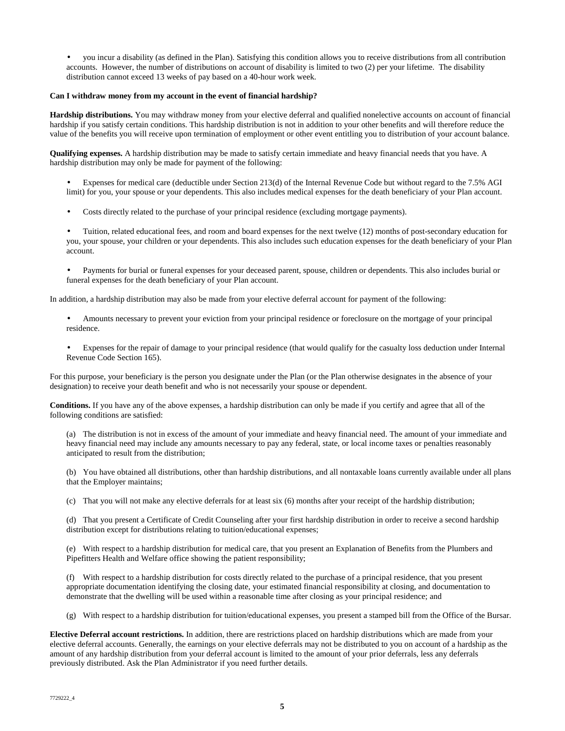• you incur a disability (as defined in the Plan). Satisfying this condition allows you to receive distributions from all contribution accounts. However, the number of distributions on account of disability is limited to two (2) per your lifetime. The disability distribution cannot exceed 13 weeks of pay based on a 40-hour work week.

# **Can I withdraw money from my account in the event of financial hardship?**

**Hardship distributions.** You may withdraw money from your elective deferral and qualified nonelective accounts on account of financial hardship if you satisfy certain conditions. This hardship distribution is not in addition to your other benefits and will therefore reduce the value of the benefits you will receive upon termination of employment or other event entitling you to distribution of your account balance.

**Qualifying expenses.** A hardship distribution may be made to satisfy certain immediate and heavy financial needs that you have. A hardship distribution may only be made for payment of the following:

- Expenses for medical care (deductible under Section 213(d) of the Internal Revenue Code but without regard to the 7.5% AGI limit) for you, your spouse or your dependents. This also includes medical expenses for the death beneficiary of your Plan account.
- Costs directly related to the purchase of your principal residence (excluding mortgage payments).
- Tuition, related educational fees, and room and board expenses for the next twelve (12) months of post-secondary education for you, your spouse, your children or your dependents. This also includes such education expenses for the death beneficiary of your Plan account.
- Payments for burial or funeral expenses for your deceased parent, spouse, children or dependents. This also includes burial or funeral expenses for the death beneficiary of your Plan account.

In addition, a hardship distribution may also be made from your elective deferral account for payment of the following:

- Amounts necessary to prevent your eviction from your principal residence or foreclosure on the mortgage of your principal residence.
- Expenses for the repair of damage to your principal residence (that would qualify for the casualty loss deduction under Internal Revenue Code Section 165).

For this purpose, your beneficiary is the person you designate under the Plan (or the Plan otherwise designates in the absence of your designation) to receive your death benefit and who is not necessarily your spouse or dependent.

**Conditions.** If you have any of the above expenses, a hardship distribution can only be made if you certify and agree that all of the following conditions are satisfied:

(a) The distribution is not in excess of the amount of your immediate and heavy financial need. The amount of your immediate and heavy financial need may include any amounts necessary to pay any federal, state, or local income taxes or penalties reasonably anticipated to result from the distribution;

(b) You have obtained all distributions, other than hardship distributions, and all nontaxable loans currently available under all plans that the Employer maintains;

(c) That you will not make any elective deferrals for at least six (6) months after your receipt of the hardship distribution;

(d) That you present a Certificate of Credit Counseling after your first hardship distribution in order to receive a second hardship distribution except for distributions relating to tuition/educational expenses;

(e) With respect to a hardship distribution for medical care, that you present an Explanation of Benefits from the Plumbers and Pipefitters Health and Welfare office showing the patient responsibility;

(f) With respect to a hardship distribution for costs directly related to the purchase of a principal residence, that you present appropriate documentation identifying the closing date, your estimated financial responsibility at closing, and documentation to demonstrate that the dwelling will be used within a reasonable time after closing as your principal residence; and

(g) With respect to a hardship distribution for tuition/educational expenses, you present a stamped bill from the Office of the Bursar.

**Elective Deferral account restrictions.** In addition, there are restrictions placed on hardship distributions which are made from your elective deferral accounts. Generally, the earnings on your elective deferrals may not be distributed to you on account of a hardship as the amount of any hardship distribution from your deferral account is limited to the amount of your prior deferrals, less any deferrals previously distributed. Ask the Plan Administrator if you need further details.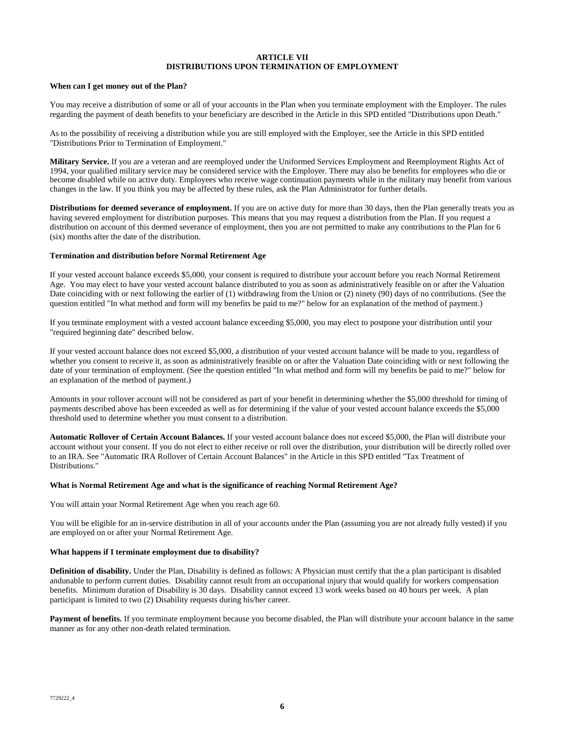# **ARTICLE VII DISTRIBUTIONS UPON TERMINATION OF EMPLOYMENT**

# **When can I get money out of the Plan?**

You may receive a distribution of some or all of your accounts in the Plan when you terminate employment with the Employer. The rules regarding the payment of death benefits to your beneficiary are described in the Article in this SPD entitled "Distributions upon Death."

As to the possibility of receiving a distribution while you are still employed with the Employer, see the Article in this SPD entitled "Distributions Prior to Termination of Employment."

**Military Service.** If you are a veteran and are reemployed under the Uniformed Services Employment and Reemployment Rights Act of 1994, your qualified military service may be considered service with the Employer. There may also be benefits for employees who die or become disabled while on active duty. Employees who receive wage continuation payments while in the military may benefit from various changes in the law. If you think you may be affected by these rules, ask the Plan Administrator for further details.

**Distributions for deemed severance of employment.** If you are on active duty for more than 30 days, then the Plan generally treats you as having severed employment for distribution purposes. This means that you may request a distribution from the Plan. If you request a distribution on account of this deemed severance of employment, then you are not permitted to make any contributions to the Plan for 6 (six) months after the date of the distribution.

#### **Termination and distribution before Normal Retirement Age**

If your vested account balance exceeds \$5,000, your consent is required to distribute your account before you reach Normal Retirement Age. You may elect to have your vested account balance distributed to you as soon as administratively feasible on or after the Valuation Date coinciding with or next following the earlier of (1) withdrawing from the Union or (2) ninety (90) days of no contributions. (See the question entitled "In what method and form will my benefits be paid to me?" below for an explanation of the method of payment.)

If you terminate employment with a vested account balance exceeding \$5,000, you may elect to postpone your distribution until your "required beginning date" described below.

If your vested account balance does not exceed \$5,000, a distribution of your vested account balance will be made to you, regardless of whether you consent to receive it, as soon as administratively feasible on or after the Valuation Date coinciding with or next following the date of your termination of employment. (See the question entitled "In what method and form will my benefits be paid to me?" below for an explanation of the method of payment.)

Amounts in your rollover account will not be considered as part of your benefit in determining whether the \$5,000 threshold for timing of payments described above has been exceeded as well as for determining if the value of your vested account balance exceeds the \$5,000 threshold used to determine whether you must consent to a distribution.

**Automatic Rollover of Certain Account Balances.** If your vested account balance does not exceed \$5,000, the Plan will distribute your account without your consent. If you do not elect to either receive or roll over the distribution, your distribution will be directly rolled over to an IRA. See "Automatic IRA Rollover of Certain Account Balances" in the Article in this SPD entitled "Tax Treatment of Distributions."

# **What is Normal Retirement Age and what is the significance of reaching Normal Retirement Age?**

You will attain your Normal Retirement Age when you reach age 60.

You will be eligible for an in-service distribution in all of your accounts under the Plan (assuming you are not already fully vested) if you are employed on or after your Normal Retirement Age.

#### **What happens if I terminate employment due to disability?**

**Definition of disability.** Under the Plan, Disability is defined as follows: A Physician must certify that the a plan participant is disabled andunable to perform current duties. Disability cannot result from an occupational injury that would qualify for workers compensation benefits. Minimum duration of Disability is 30 days. Disability cannot exceed 13 work weeks based on 40 hours per week. A plan participant is limited to two (2) Disability requests during his/her career.

Payment of benefits. If you terminate employment because you become disabled, the Plan will distribute your account balance in the same manner as for any other non-death related termination.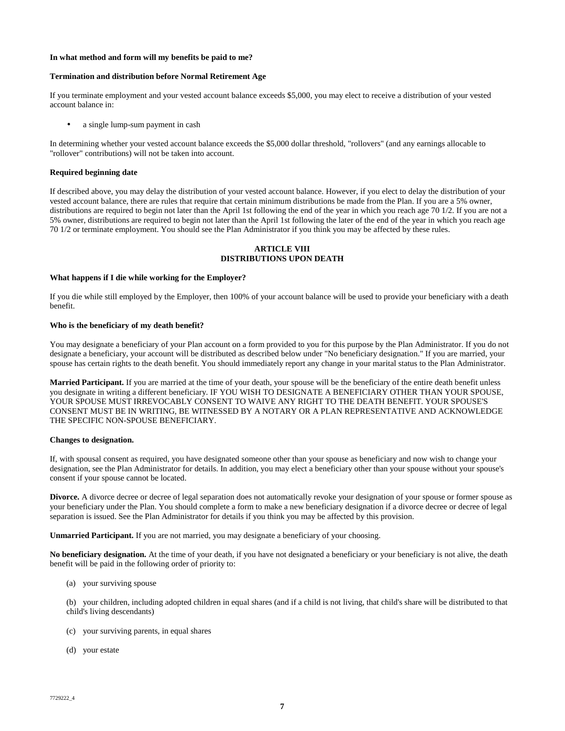### **In what method and form will my benefits be paid to me?**

# **Termination and distribution before Normal Retirement Age**

If you terminate employment and your vested account balance exceeds \$5,000, you may elect to receive a distribution of your vested account balance in:

a single lump-sum payment in cash

In determining whether your vested account balance exceeds the \$5,000 dollar threshold, "rollovers" (and any earnings allocable to "rollover" contributions) will not be taken into account.

#### **Required beginning date**

If described above, you may delay the distribution of your vested account balance. However, if you elect to delay the distribution of your vested account balance, there are rules that require that certain minimum distributions be made from the Plan. If you are a 5% owner, distributions are required to begin not later than the April 1st following the end of the year in which you reach age 70 1/2. If you are not a 5% owner, distributions are required to begin not later than the April 1st following the later of the end of the year in which you reach age 70 1/2 or terminate employment. You should see the Plan Administrator if you think you may be affected by these rules.

### **ARTICLE VIII DISTRIBUTIONS UPON DEATH**

#### **What happens if I die while working for the Employer?**

If you die while still employed by the Employer, then 100% of your account balance will be used to provide your beneficiary with a death benefit.

# **Who is the beneficiary of my death benefit?**

You may designate a beneficiary of your Plan account on a form provided to you for this purpose by the Plan Administrator. If you do not designate a beneficiary, your account will be distributed as described below under "No beneficiary designation." If you are married, your spouse has certain rights to the death benefit. You should immediately report any change in your marital status to the Plan Administrator.

**Married Participant.** If you are married at the time of your death, your spouse will be the beneficiary of the entire death benefit unless you designate in writing a different beneficiary. IF YOU WISH TO DESIGNATE A BENEFICIARY OTHER THAN YOUR SPOUSE, YOUR SPOUSE MUST IRREVOCABLY CONSENT TO WAIVE ANY RIGHT TO THE DEATH BENEFIT. YOUR SPOUSE'S CONSENT MUST BE IN WRITING, BE WITNESSED BY A NOTARY OR A PLAN REPRESENTATIVE AND ACKNOWLEDGE THE SPECIFIC NON-SPOUSE BENEFICIARY.

#### **Changes to designation.**

If, with spousal consent as required, you have designated someone other than your spouse as beneficiary and now wish to change your designation, see the Plan Administrator for details. In addition, you may elect a beneficiary other than your spouse without your spouse's consent if your spouse cannot be located.

**Divorce.** A divorce decree or decree of legal separation does not automatically revoke your designation of your spouse or former spouse as your beneficiary under the Plan. You should complete a form to make a new beneficiary designation if a divorce decree or decree of legal separation is issued. See the Plan Administrator for details if you think you may be affected by this provision.

**Unmarried Participant.** If you are not married, you may designate a beneficiary of your choosing.

No beneficiary designation. At the time of your death, if you have not designated a beneficiary or your beneficiary is not alive, the death benefit will be paid in the following order of priority to:

(a) your surviving spouse

(b) your children, including adopted children in equal shares (and if a child is not living, that child's share will be distributed to that child's living descendants)

- (c) your surviving parents, in equal shares
- (d) your estate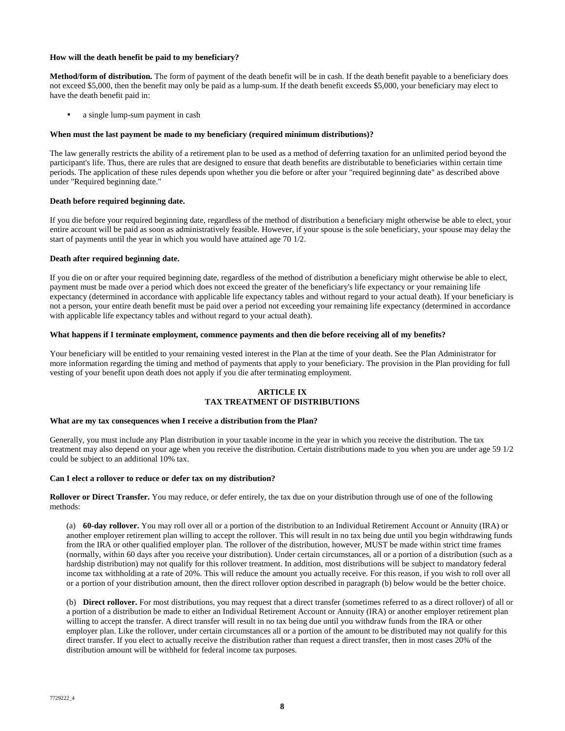# **How will the death benefit be paid to my beneficiary?**

**Method/form of distribution.** The form of payment of the death benefit will be in cash. If the death benefit payable to a beneficiary does not exceed \$5,000, then the benefit may only be paid as a lump-sum. If the death benefit exceeds \$5,000, your beneficiary may elect to have the death benefit paid in:

a single lump-sum payment in cash

# **When must the last payment be made to my beneficiary (required minimum distributions)?**

The law generally restricts the ability of a retirement plan to be used as a method of deferring taxation for an unlimited period beyond the participant's life. Thus, there are rules that are designed to ensure that death benefits are distributable to beneficiaries within certain time periods. The application of these rules depends upon whether you die before or after your "required beginning date" as described above under "Required beginning date."

# **Death before required beginning date.**

If you die before your required beginning date, regardless of the method of distribution a beneficiary might otherwise be able to elect, your entire account will be paid as soon as administratively feasible. However, if your spouse is the sole beneficiary, your spouse may delay the start of payments until the year in which you would have attained age 70 1/2.

# **Death after required beginning date.**

If you die on or after your required beginning date, regardless of the method of distribution a beneficiary might otherwise be able to elect, payment must be made over a period which does not exceed the greater of the beneficiary's life expectancy or your remaining life expectancy (determined in accordance with applicable life expectancy tables and without regard to your actual death). If your beneficiary is not a person, your entire death benefit must be paid over a period not exceeding your remaining life expectancy (determined in accordance with applicable life expectancy tables and without regard to your actual death).

# **What happens if I terminate employment, commence payments and then die before receiving all of my benefits?**

Your beneficiary will be entitled to your remaining vested interest in the Plan at the time of your death. See the Plan Administrator for more information regarding the timing and method of payments that apply to your beneficiary. The provision in the Plan providing for full vesting of your benefit upon death does not apply if you die after terminating employment.

# **ARTICLE IX TAX TREATMENT OF DISTRIBUTIONS**

# **What are my tax consequences when I receive a distribution from the Plan?**

Generally, you must include any Plan distribution in your taxable income in the year in which you receive the distribution. The tax treatment may also depend on your age when you receive the distribution. Certain distributions made to you when you are under age 59 1/2 could be subject to an additional 10% tax.

# **Can I elect a rollover to reduce or defer tax on my distribution?**

**Rollover or Direct Transfer.** You may reduce, or defer entirely, the tax due on your distribution through use of one of the following methods:

(a) **60-day rollover.** You may roll over all or a portion of the distribution to an Individual Retirement Account or Annuity (IRA) or another employer retirement plan willing to accept the rollover. This will result in no tax being due until you begin withdrawing funds from the IRA or other qualified employer plan. The rollover of the distribution, however, MUST be made within strict time frames (normally, within 60 days after you receive your distribution). Under certain circumstances, all or a portion of a distribution (such as a hardship distribution) may not qualify for this rollover treatment. In addition, most distributions will be subject to mandatory federal income tax withholding at a rate of 20%. This will reduce the amount you actually receive. For this reason, if you wish to roll over all or a portion of your distribution amount, then the direct rollover option described in paragraph (b) below would be the better choice.

(b) **Direct rollover.** For most distributions, you may request that a direct transfer (sometimes referred to as a direct rollover) of all or a portion of a distribution be made to either an Individual Retirement Account or Annuity (IRA) or another employer retirement plan willing to accept the transfer. A direct transfer will result in no tax being due until you withdraw funds from the IRA or other employer plan. Like the rollover, under certain circumstances all or a portion of the amount to be distributed may not qualify for this direct transfer. If you elect to actually receive the distribution rather than request a direct transfer, then in most cases 20% of the distribution amount will be withheld for federal income tax purposes.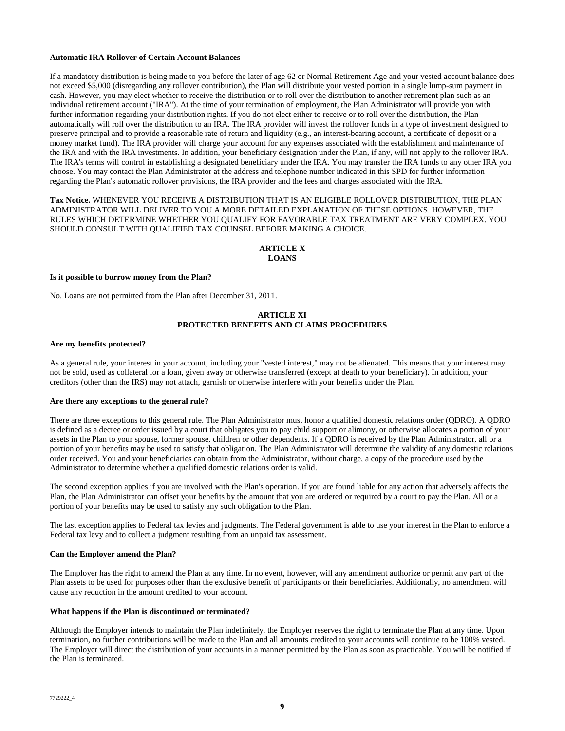## **Automatic IRA Rollover of Certain Account Balances**

If a mandatory distribution is being made to you before the later of age 62 or Normal Retirement Age and your vested account balance does not exceed \$5,000 (disregarding any rollover contribution), the Plan will distribute your vested portion in a single lump-sum payment in cash. However, you may elect whether to receive the distribution or to roll over the distribution to another retirement plan such as an individual retirement account ("IRA"). At the time of your termination of employment, the Plan Administrator will provide you with further information regarding your distribution rights. If you do not elect either to receive or to roll over the distribution, the Plan automatically will roll over the distribution to an IRA. The IRA provider will invest the rollover funds in a type of investment designed to preserve principal and to provide a reasonable rate of return and liquidity (e.g., an interest-bearing account, a certificate of deposit or a money market fund). The IRA provider will charge your account for any expenses associated with the establishment and maintenance of the IRA and with the IRA investments. In addition, your beneficiary designation under the Plan, if any, will not apply to the rollover IRA. The IRA's terms will control in establishing a designated beneficiary under the IRA. You may transfer the IRA funds to any other IRA you choose. You may contact the Plan Administrator at the address and telephone number indicated in this SPD for further information regarding the Plan's automatic rollover provisions, the IRA provider and the fees and charges associated with the IRA.

**Tax Notice.** WHENEVER YOU RECEIVE A DISTRIBUTION THAT IS AN ELIGIBLE ROLLOVER DISTRIBUTION, THE PLAN ADMINISTRATOR WILL DELIVER TO YOU A MORE DETAILED EXPLANATION OF THESE OPTIONS. HOWEVER, THE RULES WHICH DETERMINE WHETHER YOU QUALIFY FOR FAVORABLE TAX TREATMENT ARE VERY COMPLEX. YOU SHOULD CONSULT WITH QUALIFIED TAX COUNSEL BEFORE MAKING A CHOICE.

# **ARTICLE X LOANS**

#### **Is it possible to borrow money from the Plan?**

No. Loans are not permitted from the Plan after December 31, 2011.

# **ARTICLE XI PROTECTED BENEFITS AND CLAIMS PROCEDURES**

#### **Are my benefits protected?**

As a general rule, your interest in your account, including your "vested interest," may not be alienated. This means that your interest may not be sold, used as collateral for a loan, given away or otherwise transferred (except at death to your beneficiary). In addition, your creditors (other than the IRS) may not attach, garnish or otherwise interfere with your benefits under the Plan.

#### **Are there any exceptions to the general rule?**

There are three exceptions to this general rule. The Plan Administrator must honor a qualified domestic relations order (QDRO). A QDRO is defined as a decree or order issued by a court that obligates you to pay child support or alimony, or otherwise allocates a portion of your assets in the Plan to your spouse, former spouse, children or other dependents. If a QDRO is received by the Plan Administrator, all or a portion of your benefits may be used to satisfy that obligation. The Plan Administrator will determine the validity of any domestic relations order received. You and your beneficiaries can obtain from the Administrator, without charge, a copy of the procedure used by the Administrator to determine whether a qualified domestic relations order is valid.

The second exception applies if you are involved with the Plan's operation. If you are found liable for any action that adversely affects the Plan, the Plan Administrator can offset your benefits by the amount that you are ordered or required by a court to pay the Plan. All or a portion of your benefits may be used to satisfy any such obligation to the Plan.

The last exception applies to Federal tax levies and judgments. The Federal government is able to use your interest in the Plan to enforce a Federal tax levy and to collect a judgment resulting from an unpaid tax assessment.

#### **Can the Employer amend the Plan?**

The Employer has the right to amend the Plan at any time. In no event, however, will any amendment authorize or permit any part of the Plan assets to be used for purposes other than the exclusive benefit of participants or their beneficiaries. Additionally, no amendment will cause any reduction in the amount credited to your account.

#### **What happens if the Plan is discontinued or terminated?**

Although the Employer intends to maintain the Plan indefinitely, the Employer reserves the right to terminate the Plan at any time. Upon termination, no further contributions will be made to the Plan and all amounts credited to your accounts will continue to be 100% vested. The Employer will direct the distribution of your accounts in a manner permitted by the Plan as soon as practicable. You will be notified if the Plan is terminated.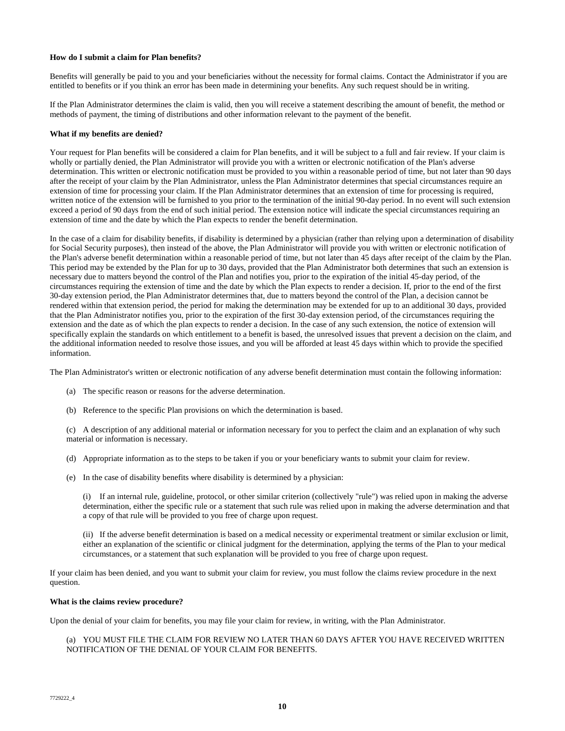# **How do I submit a claim for Plan benefits?**

Benefits will generally be paid to you and your beneficiaries without the necessity for formal claims. Contact the Administrator if you are entitled to benefits or if you think an error has been made in determining your benefits. Any such request should be in writing.

If the Plan Administrator determines the claim is valid, then you will receive a statement describing the amount of benefit, the method or methods of payment, the timing of distributions and other information relevant to the payment of the benefit.

### **What if my benefits are denied?**

Your request for Plan benefits will be considered a claim for Plan benefits, and it will be subject to a full and fair review. If your claim is wholly or partially denied, the Plan Administrator will provide you with a written or electronic notification of the Plan's adverse determination. This written or electronic notification must be provided to you within a reasonable period of time, but not later than 90 days after the receipt of your claim by the Plan Administrator, unless the Plan Administrator determines that special circumstances require an extension of time for processing your claim. If the Plan Administrator determines that an extension of time for processing is required, written notice of the extension will be furnished to you prior to the termination of the initial 90-day period. In no event will such extension exceed a period of 90 days from the end of such initial period. The extension notice will indicate the special circumstances requiring an extension of time and the date by which the Plan expects to render the benefit determination.

In the case of a claim for disability benefits, if disability is determined by a physician (rather than relying upon a determination of disability for Social Security purposes), then instead of the above, the Plan Administrator will provide you with written or electronic notification of the Plan's adverse benefit determination within a reasonable period of time, but not later than 45 days after receipt of the claim by the Plan. This period may be extended by the Plan for up to 30 days, provided that the Plan Administrator both determines that such an extension is necessary due to matters beyond the control of the Plan and notifies you, prior to the expiration of the initial 45-day period, of the circumstances requiring the extension of time and the date by which the Plan expects to render a decision. If, prior to the end of the first 30-day extension period, the Plan Administrator determines that, due to matters beyond the control of the Plan, a decision cannot be rendered within that extension period, the period for making the determination may be extended for up to an additional 30 days, provided that the Plan Administrator notifies you, prior to the expiration of the first 30-day extension period, of the circumstances requiring the extension and the date as of which the plan expects to render a decision. In the case of any such extension, the notice of extension will specifically explain the standards on which entitlement to a benefit is based, the unresolved issues that prevent a decision on the claim, and the additional information needed to resolve those issues, and you will be afforded at least 45 days within which to provide the specified information.

The Plan Administrator's written or electronic notification of any adverse benefit determination must contain the following information:

- (a) The specific reason or reasons for the adverse determination.
- (b) Reference to the specific Plan provisions on which the determination is based.

(c) A description of any additional material or information necessary for you to perfect the claim and an explanation of why such material or information is necessary.

- (d) Appropriate information as to the steps to be taken if you or your beneficiary wants to submit your claim for review.
- (e) In the case of disability benefits where disability is determined by a physician:

(i) If an internal rule, guideline, protocol, or other similar criterion (collectively "rule") was relied upon in making the adverse determination, either the specific rule or a statement that such rule was relied upon in making the adverse determination and that a copy of that rule will be provided to you free of charge upon request.

(ii) If the adverse benefit determination is based on a medical necessity or experimental treatment or similar exclusion or limit, either an explanation of the scientific or clinical judgment for the determination, applying the terms of the Plan to your medical circumstances, or a statement that such explanation will be provided to you free of charge upon request.

If your claim has been denied, and you want to submit your claim for review, you must follow the claims review procedure in the next question.

#### **What is the claims review procedure?**

Upon the denial of your claim for benefits, you may file your claim for review, in writing, with the Plan Administrator.

# (a) YOU MUST FILE THE CLAIM FOR REVIEW NO LATER THAN 60 DAYS AFTER YOU HAVE RECEIVED WRITTEN NOTIFICATION OF THE DENIAL OF YOUR CLAIM FOR BENEFITS.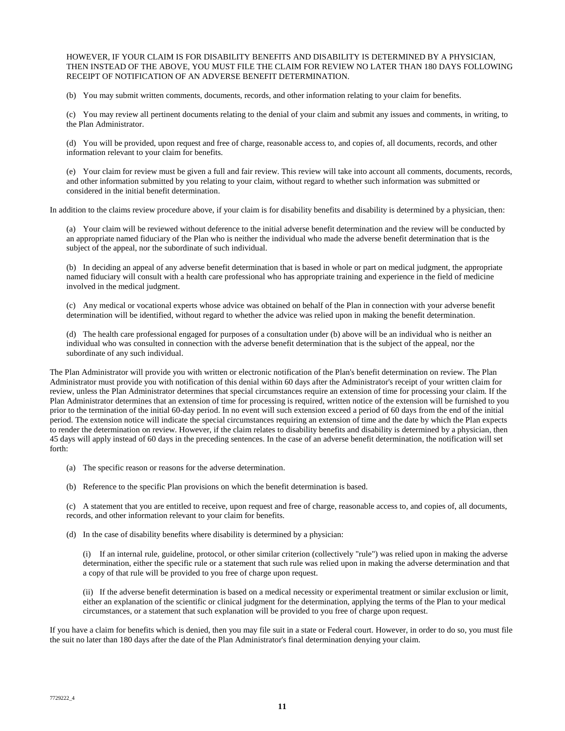HOWEVER, IF YOUR CLAIM IS FOR DISABILITY BENEFITS AND DISABILITY IS DETERMINED BY A PHYSICIAN, THEN INSTEAD OF THE ABOVE, YOU MUST FILE THE CLAIM FOR REVIEW NO LATER THAN 180 DAYS FOLLOWING RECEIPT OF NOTIFICATION OF AN ADVERSE BENEFIT DETERMINATION.

(b) You may submit written comments, documents, records, and other information relating to your claim for benefits.

(c) You may review all pertinent documents relating to the denial of your claim and submit any issues and comments, in writing, to the Plan Administrator.

(d) You will be provided, upon request and free of charge, reasonable access to, and copies of, all documents, records, and other information relevant to your claim for benefits.

(e) Your claim for review must be given a full and fair review. This review will take into account all comments, documents, records, and other information submitted by you relating to your claim, without regard to whether such information was submitted or considered in the initial benefit determination.

In addition to the claims review procedure above, if your claim is for disability benefits and disability is determined by a physician, then:

(a) Your claim will be reviewed without deference to the initial adverse benefit determination and the review will be conducted by an appropriate named fiduciary of the Plan who is neither the individual who made the adverse benefit determination that is the subject of the appeal, nor the subordinate of such individual.

(b) In deciding an appeal of any adverse benefit determination that is based in whole or part on medical judgment, the appropriate named fiduciary will consult with a health care professional who has appropriate training and experience in the field of medicine involved in the medical judgment.

(c) Any medical or vocational experts whose advice was obtained on behalf of the Plan in connection with your adverse benefit determination will be identified, without regard to whether the advice was relied upon in making the benefit determination.

(d) The health care professional engaged for purposes of a consultation under (b) above will be an individual who is neither an individual who was consulted in connection with the adverse benefit determination that is the subject of the appeal, nor the subordinate of any such individual.

The Plan Administrator will provide you with written or electronic notification of the Plan's benefit determination on review. The Plan Administrator must provide you with notification of this denial within 60 days after the Administrator's receipt of your written claim for review, unless the Plan Administrator determines that special circumstances require an extension of time for processing your claim. If the Plan Administrator determines that an extension of time for processing is required, written notice of the extension will be furnished to you prior to the termination of the initial 60-day period. In no event will such extension exceed a period of 60 days from the end of the initial period. The extension notice will indicate the special circumstances requiring an extension of time and the date by which the Plan expects to render the determination on review. However, if the claim relates to disability benefits and disability is determined by a physician, then 45 days will apply instead of 60 days in the preceding sentences. In the case of an adverse benefit determination, the notification will set forth:

(a) The specific reason or reasons for the adverse determination.

(b) Reference to the specific Plan provisions on which the benefit determination is based.

(c) A statement that you are entitled to receive, upon request and free of charge, reasonable access to, and copies of, all documents, records, and other information relevant to your claim for benefits.

(d) In the case of disability benefits where disability is determined by a physician:

(i) If an internal rule, guideline, protocol, or other similar criterion (collectively "rule") was relied upon in making the adverse determination, either the specific rule or a statement that such rule was relied upon in making the adverse determination and that a copy of that rule will be provided to you free of charge upon request.

(ii) If the adverse benefit determination is based on a medical necessity or experimental treatment or similar exclusion or limit, either an explanation of the scientific or clinical judgment for the determination, applying the terms of the Plan to your medical circumstances, or a statement that such explanation will be provided to you free of charge upon request.

If you have a claim for benefits which is denied, then you may file suit in a state or Federal court. However, in order to do so, you must file the suit no later than 180 days after the date of the Plan Administrator's final determination denying your claim.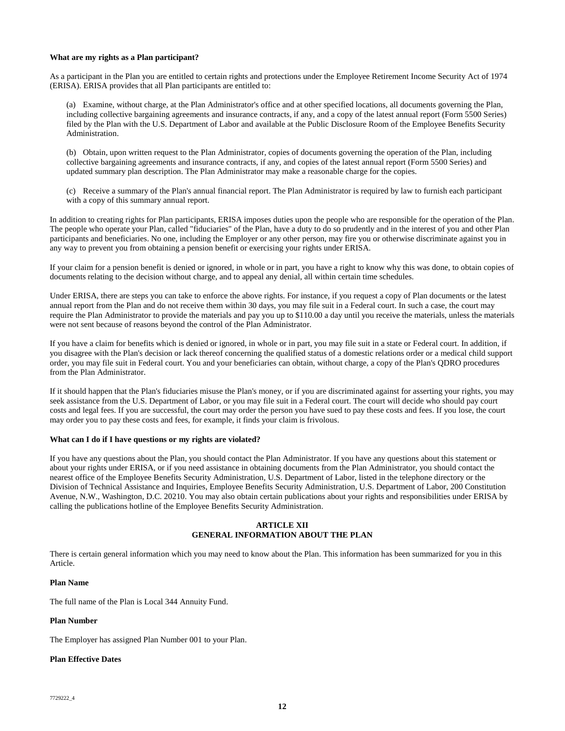## **What are my rights as a Plan participant?**

As a participant in the Plan you are entitled to certain rights and protections under the Employee Retirement Income Security Act of 1974 (ERISA). ERISA provides that all Plan participants are entitled to:

(a) Examine, without charge, at the Plan Administrator's office and at other specified locations, all documents governing the Plan, including collective bargaining agreements and insurance contracts, if any, and a copy of the latest annual report (Form 5500 Series) filed by the Plan with the U.S. Department of Labor and available at the Public Disclosure Room of the Employee Benefits Security Administration.

(b) Obtain, upon written request to the Plan Administrator, copies of documents governing the operation of the Plan, including collective bargaining agreements and insurance contracts, if any, and copies of the latest annual report (Form 5500 Series) and updated summary plan description. The Plan Administrator may make a reasonable charge for the copies.

(c) Receive a summary of the Plan's annual financial report. The Plan Administrator is required by law to furnish each participant with a copy of this summary annual report.

In addition to creating rights for Plan participants, ERISA imposes duties upon the people who are responsible for the operation of the Plan. The people who operate your Plan, called "fiduciaries" of the Plan, have a duty to do so prudently and in the interest of you and other Plan participants and beneficiaries. No one, including the Employer or any other person, may fire you or otherwise discriminate against you in any way to prevent you from obtaining a pension benefit or exercising your rights under ERISA.

If your claim for a pension benefit is denied or ignored, in whole or in part, you have a right to know why this was done, to obtain copies of documents relating to the decision without charge, and to appeal any denial, all within certain time schedules.

Under ERISA, there are steps you can take to enforce the above rights. For instance, if you request a copy of Plan documents or the latest annual report from the Plan and do not receive them within 30 days, you may file suit in a Federal court. In such a case, the court may require the Plan Administrator to provide the materials and pay you up to \$110.00 a day until you receive the materials, unless the materials were not sent because of reasons beyond the control of the Plan Administrator.

If you have a claim for benefits which is denied or ignored, in whole or in part, you may file suit in a state or Federal court. In addition, if you disagree with the Plan's decision or lack thereof concerning the qualified status of a domestic relations order or a medical child support order, you may file suit in Federal court. You and your beneficiaries can obtain, without charge, a copy of the Plan's QDRO procedures from the Plan Administrator.

If it should happen that the Plan's fiduciaries misuse the Plan's money, or if you are discriminated against for asserting your rights, you may seek assistance from the U.S. Department of Labor, or you may file suit in a Federal court. The court will decide who should pay court costs and legal fees. If you are successful, the court may order the person you have sued to pay these costs and fees. If you lose, the court may order you to pay these costs and fees, for example, it finds your claim is frivolous.

# **What can I do if I have questions or my rights are violated?**

If you have any questions about the Plan, you should contact the Plan Administrator. If you have any questions about this statement or about your rights under ERISA, or if you need assistance in obtaining documents from the Plan Administrator, you should contact the nearest office of the Employee Benefits Security Administration, U.S. Department of Labor, listed in the telephone directory or the Division of Technical Assistance and Inquiries, Employee Benefits Security Administration, U.S. Department of Labor, 200 Constitution Avenue, N.W., Washington, D.C. 20210. You may also obtain certain publications about your rights and responsibilities under ERISA by calling the publications hotline of the Employee Benefits Security Administration.

# **ARTICLE XII GENERAL INFORMATION ABOUT THE PLAN**

There is certain general information which you may need to know about the Plan. This information has been summarized for you in this Article.

# **Plan Name**

The full name of the Plan is Local 344 Annuity Fund.

# **Plan Number**

The Employer has assigned Plan Number 001 to your Plan.

# **Plan Effective Dates**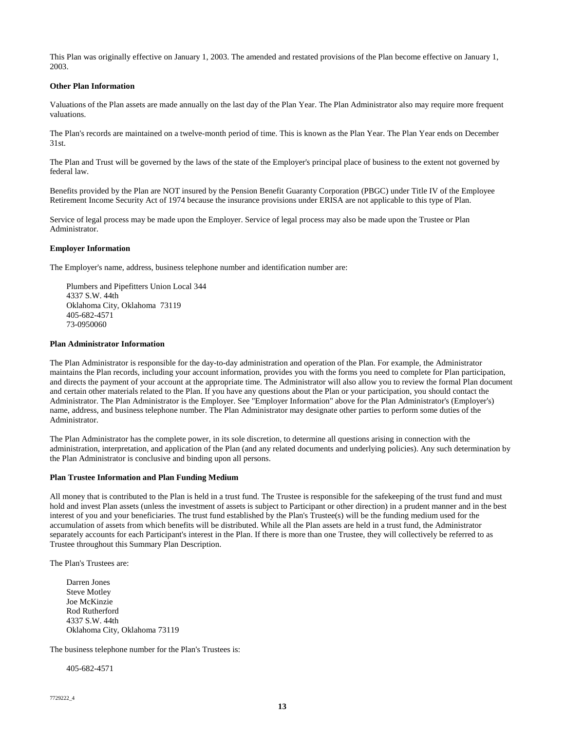This Plan was originally effective on January 1, 2003. The amended and restated provisions of the Plan become effective on January 1, 2003.

# **Other Plan Information**

Valuations of the Plan assets are made annually on the last day of the Plan Year. The Plan Administrator also may require more frequent valuations.

The Plan's records are maintained on a twelve-month period of time. This is known as the Plan Year. The Plan Year ends on December 31st.

The Plan and Trust will be governed by the laws of the state of the Employer's principal place of business to the extent not governed by federal law.

Benefits provided by the Plan are NOT insured by the Pension Benefit Guaranty Corporation (PBGC) under Title IV of the Employee Retirement Income Security Act of 1974 because the insurance provisions under ERISA are not applicable to this type of Plan.

Service of legal process may be made upon the Employer. Service of legal process may also be made upon the Trustee or Plan Administrator.

# **Employer Information**

The Employer's name, address, business telephone number and identification number are:

Plumbers and Pipefitters Union Local 344 4337 S.W. 44th Oklahoma City, Oklahoma 73119 405-682-4571 73-0950060

### **Plan Administrator Information**

The Plan Administrator is responsible for the day-to-day administration and operation of the Plan. For example, the Administrator maintains the Plan records, including your account information, provides you with the forms you need to complete for Plan participation, and directs the payment of your account at the appropriate time. The Administrator will also allow you to review the formal Plan document and certain other materials related to the Plan. If you have any questions about the Plan or your participation, you should contact the Administrator. The Plan Administrator is the Employer. See "Employer Information" above for the Plan Administrator's (Employer's) name, address, and business telephone number. The Plan Administrator may designate other parties to perform some duties of the Administrator.

The Plan Administrator has the complete power, in its sole discretion, to determine all questions arising in connection with the administration, interpretation, and application of the Plan (and any related documents and underlying policies). Any such determination by the Plan Administrator is conclusive and binding upon all persons.

# **Plan Trustee Information and Plan Funding Medium**

All money that is contributed to the Plan is held in a trust fund. The Trustee is responsible for the safekeeping of the trust fund and must hold and invest Plan assets (unless the investment of assets is subject to Participant or other direction) in a prudent manner and in the best interest of you and your beneficiaries. The trust fund established by the Plan's Trustee(s) will be the funding medium used for the accumulation of assets from which benefits will be distributed. While all the Plan assets are held in a trust fund, the Administrator separately accounts for each Participant's interest in the Plan. If there is more than one Trustee, they will collectively be referred to as Trustee throughout this Summary Plan Description.

The Plan's Trustees are:

Darren Jones Steve Motley Joe McKinzie Rod Rutherford 4337 S.W. 44th Oklahoma City, Oklahoma 73119

The business telephone number for the Plan's Trustees is:

405-682-4571